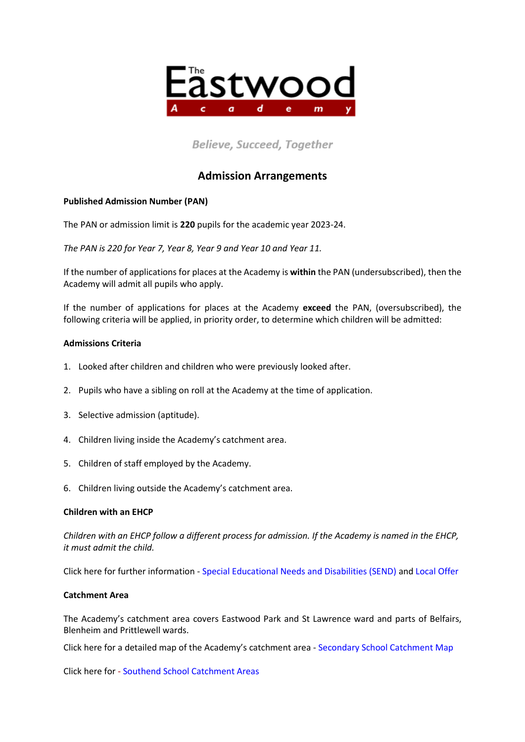

# **Believe, Succeed, Together**

# **Admission Arrangements**

## **Published Admission Number (PAN)**

The PAN or admission limit is **220** pupils for the academic year 2023-24.

*The PAN is 220 for Year 7, Year 8, Year 9 and Year 10 and Year 11.*

If the number of applications for places at the Academy is **within** the PAN (undersubscribed), then the Academy will admit all pupils who apply.

If the number of applications for places at the Academy **exceed** the PAN, (oversubscribed), the following criteria will be applied, in priority order, to determine which children will be admitted:

#### **Admissions Criteria**

- 1. Looked after children and children who were previously looked after.
- 2. Pupils who have a sibling on roll at the Academy at the time of application.
- 3. Selective admission (aptitude).
- 4. Children living inside the Academy's catchment area.
- 5. Children of staff employed by the Academy.
- 6. Children living outside the Academy's catchment area.

#### **Children with an EHCP**

*Children with an EHCP follow a different process for admission. If the Academy is named in the EHCP, it must admit the child.* 

Click here for further information - [Special Educational Needs and Disabilities \(SEND\)](https://www.southend.gov.uk/children-disabilities/special-educational-needs) an[d Local Offer](https://livewellsouthend.com/kb5/southendonsea/directory/localoffer.page?localofferchannel=0)

#### **Catchment Area**

The Academy's catchment area covers Eastwood Park and St Lawrence ward and parts of Belfairs, Blenheim and Prittlewell wards.

Click here for a detailed map of the Academy's catchment area - [Secondary School Catchment Map](https://southend.maps.arcgis.com/apps/webappviewer/index.html?id=d105451f93da49e7bd19ad946ffc2939)

Click here for - [Southend School Catchment Areas](https://school-catchment-areas-southend.hub.arcgis.com/)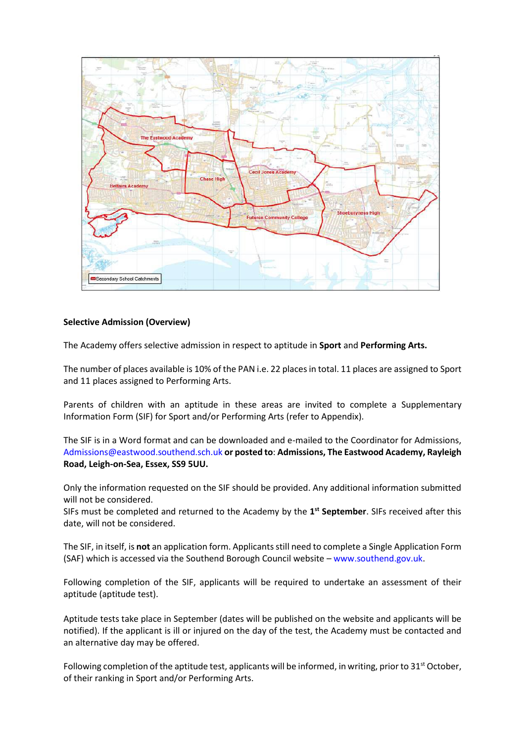

#### **Selective Admission (Overview)**

The Academy offers selective admission in respect to aptitude in **Sport** and **Performing Arts.**

The number of places available is 10% of the PAN i.e. 22 places in total. 11 places are assigned to Sport and 11 places assigned to Performing Arts.

Parents of children with an aptitude in these areas are invited to complete a Supplementary Information Form (SIF) for Sport and/or Performing Arts (refer to Appendix).

The SIF is in a Word format and can be downloaded and e-mailed to the Coordinator for Admissions, [Admissions@eastwood.southend.sch.uk](mailto:Admissions@eastwood.southend.sch.uk) **or posted to**: **Admissions, The Eastwood Academy, Rayleigh Road, Leigh-on-Sea, Essex, SS9 5UU.**

Only the information requested on the SIF should be provided. Any additional information submitted will not be considered.

SIFs must be completed and returned to the Academy by the **1 st September**. SIFs received after this date, will not be considered.

The SIF, in itself, is **not** an application form. Applicants still need to complete a Single Application Form (SAF) which is accessed via the Southend Borough Council website – [www.southend.gov.uk.](http://www.southend.gov.uk/)

Following completion of the SIF, applicants will be required to undertake an assessment of their aptitude (aptitude test).

Aptitude tests take place in September (dates will be published on the website and applicants will be notified). If the applicant is ill or injured on the day of the test, the Academy must be contacted and an alternative day may be offered.

Following completion of the aptitude test, applicants will be informed, in writing, prior to  $31<sup>st</sup>$  October, of their ranking in Sport and/or Performing Arts.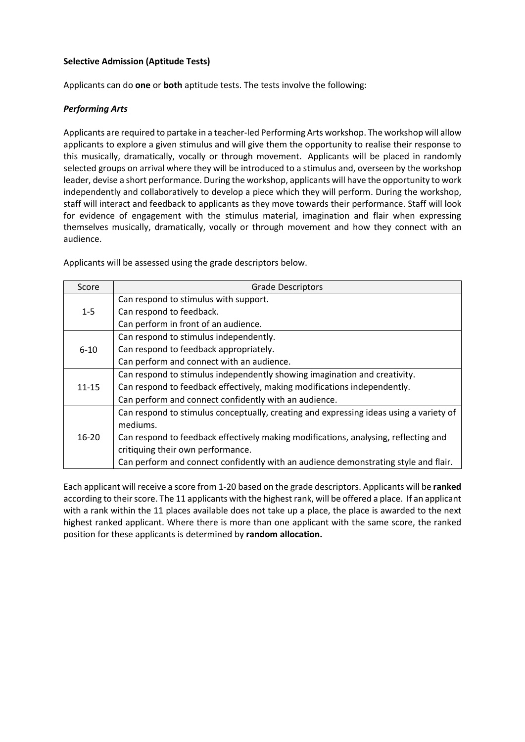## **Selective Admission (Aptitude Tests)**

Applicants can do **one** or **both** aptitude tests. The tests involve the following:

## *Performing Arts*

Applicants are required to partake in a teacher-led Performing Arts workshop. The workshop will allow applicants to explore a given stimulus and will give them the opportunity to realise their response to this musically, dramatically, vocally or through movement. Applicants will be placed in randomly selected groups on arrival where they will be introduced to a stimulus and, overseen by the workshop leader, devise a short performance. During the workshop, applicants will have the opportunity to work independently and collaboratively to develop a piece which they will perform. During the workshop, staff will interact and feedback to applicants as they move towards their performance. Staff will look for evidence of engagement with the stimulus material, imagination and flair when expressing themselves musically, dramatically, vocally or through movement and how they connect with an audience.

Applicants will be assessed using the grade descriptors below.

| Score     | <b>Grade Descriptors</b>                                                               |  |  |  |  |
|-----------|----------------------------------------------------------------------------------------|--|--|--|--|
|           | Can respond to stimulus with support.                                                  |  |  |  |  |
| $1 - 5$   | Can respond to feedback.                                                               |  |  |  |  |
|           | Can perform in front of an audience.                                                   |  |  |  |  |
|           | Can respond to stimulus independently.                                                 |  |  |  |  |
| $6 - 10$  | Can respond to feedback appropriately.                                                 |  |  |  |  |
|           | Can perform and connect with an audience.                                              |  |  |  |  |
|           | Can respond to stimulus independently showing imagination and creativity.              |  |  |  |  |
| $11 - 15$ | Can respond to feedback effectively, making modifications independently.               |  |  |  |  |
|           | Can perform and connect confidently with an audience.                                  |  |  |  |  |
| $16 - 20$ | Can respond to stimulus conceptually, creating and expressing ideas using a variety of |  |  |  |  |
|           | mediums.                                                                               |  |  |  |  |
|           | Can respond to feedback effectively making modifications, analysing, reflecting and    |  |  |  |  |
|           | critiquing their own performance.                                                      |  |  |  |  |
|           | Can perform and connect confidently with an audience demonstrating style and flair.    |  |  |  |  |

Each applicant will receive a score from 1-20 based on the grade descriptors. Applicants will be **ranked** according to their score. The 11 applicants with the highest rank, will be offered a place. If an applicant with a rank within the 11 places available does not take up a place, the place is awarded to the next highest ranked applicant. Where there is more than one applicant with the same score, the ranked position for these applicants is determined by **random allocation.**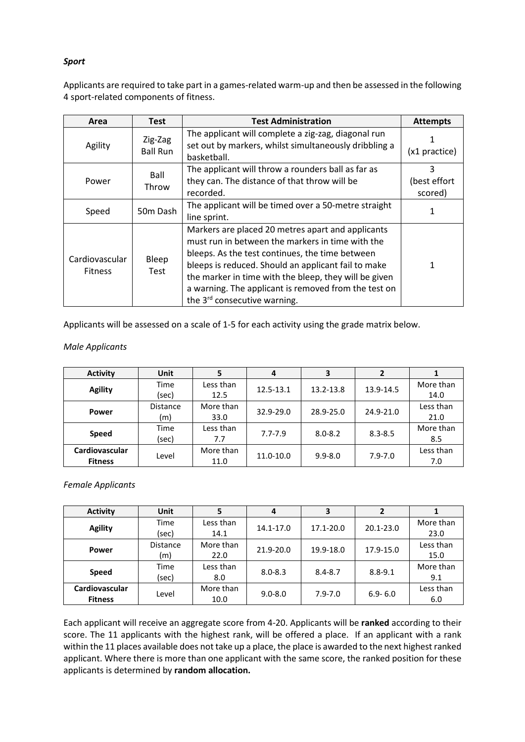## *Sport*

Applicants are required to take part in a games-related warm-up and then be assessed in the following 4 sport-related components of fitness.

| Area                             | <b>Test</b>                | <b>Test Administration</b>                                                                                                                                                                                                                                                                                                                                                   | <b>Attempts</b>              |
|----------------------------------|----------------------------|------------------------------------------------------------------------------------------------------------------------------------------------------------------------------------------------------------------------------------------------------------------------------------------------------------------------------------------------------------------------------|------------------------------|
| Agility                          | Zig-Zag<br><b>Ball Run</b> | The applicant will complete a zig-zag, diagonal run<br>set out by markers, whilst simultaneously dribbling a<br>basketball.                                                                                                                                                                                                                                                  | (x1 practice)                |
| Power                            | Ball<br>Throw              | The applicant will throw a rounders ball as far as<br>they can. The distance of that throw will be<br>recorded.                                                                                                                                                                                                                                                              | 3<br>(best effort<br>scored) |
| Speed                            | 50m Dash                   | The applicant will be timed over a 50-metre straight<br>line sprint.                                                                                                                                                                                                                                                                                                         |                              |
| Cardiovascular<br><b>Fitness</b> | Bleep<br>Test              | Markers are placed 20 metres apart and applicants<br>must run in between the markers in time with the<br>bleeps. As the test continues, the time between<br>bleeps is reduced. Should an applicant fail to make<br>the marker in time with the bleep, they will be given<br>a warning. The applicant is removed from the test on<br>the 3 <sup>rd</sup> consecutive warning. |                              |

Applicants will be assessed on a scale of 1-5 for each activity using the grade matrix below.

#### *Male Applicants*

| <b>Activity</b> | Unit            |           | 4           |             |             |           |
|-----------------|-----------------|-----------|-------------|-------------|-------------|-----------|
|                 | Time            | Less than | 12.5-13.1   | 13.2-13.8   | 13.9-14.5   | More than |
| <b>Agility</b>  | (sec)           | 12.5      |             |             |             | 14.0      |
|                 | <b>Distance</b> | More than | 32.9-29.0   | 28.9-25.0   | 24.9-21.0   | Less than |
| Power           | (m)             | 33.0      |             |             |             | 21.0      |
|                 | Time            | Less than | $7.7 - 7.9$ |             |             | More than |
| <b>Speed</b>    | (sec)           | 7.7       |             | $8.0 - 8.2$ | $8.3 - 8.5$ | 8.5       |
| Cardiovascular  | Level           | More than | 11.0-10.0   | $9.9 - 8.0$ | $7.9 - 7.0$ | Less than |
| <b>Fitness</b>  |                 | 11.0      |             |             |             | 7.0       |

#### *Female Applicants*

| <b>Activity</b> | <b>Unit</b>     |           | 4           |             |               |           |
|-----------------|-----------------|-----------|-------------|-------------|---------------|-----------|
| <b>Agility</b>  | Time            | Less than | 14.1-17.0   | 17.1-20.0   | $20.1 - 23.0$ | More than |
|                 | (sec)           | 14.1      |             |             |               | 23.0      |
|                 | <b>Distance</b> | More than | 21.9-20.0   | 19.9-18.0   | 17.9-15.0     | Less than |
| <b>Power</b>    | (m)             | 22.0      |             |             |               | 15.0      |
|                 | Time            | Less than | $8.0 - 8.3$ | $8.4 - 8.7$ | $8.8 - 9.1$   | More than |
| <b>Speed</b>    | (sec)           | 8.0       |             |             |               | 9.1       |
| Cardiovascular  |                 | More than |             |             |               | Less than |
| <b>Fitness</b>  | Level           | 10.0      | $9.0 - 8.0$ | $7.9 - 7.0$ | $6.9 - 6.0$   | 6.0       |

Each applicant will receive an aggregate score from 4-20. Applicants will be **ranked** according to their score. The 11 applicants with the highest rank, will be offered a place. If an applicant with a rank within the 11 places available does not take up a place, the place is awarded to the next highest ranked applicant. Where there is more than one applicant with the same score, the ranked position for these applicants is determined by **random allocation.**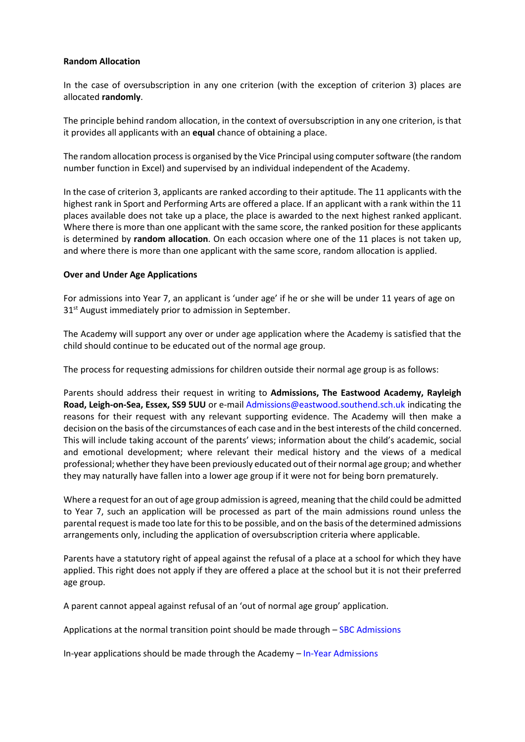#### **Random Allocation**

In the case of oversubscription in any one criterion (with the exception of criterion 3) places are allocated **randomly**.

The principle behind random allocation, in the context of oversubscription in any one criterion, is that it provides all applicants with an **equal** chance of obtaining a place.

The random allocation process is organised by the Vice Principal using computer software (the random number function in Excel) and supervised by an individual independent of the Academy.

In the case of criterion 3, applicants are ranked according to their aptitude. The 11 applicants with the highest rank in Sport and Performing Arts are offered a place. If an applicant with a rank within the 11 places available does not take up a place, the place is awarded to the next highest ranked applicant. Where there is more than one applicant with the same score, the ranked position for these applicants is determined by **random allocation**. On each occasion where one of the 11 places is not taken up, and where there is more than one applicant with the same score, random allocation is applied.

#### **Over and Under Age Applications**

For admissions into Year 7, an applicant is 'under age' if he or she will be under 11 years of age on 31<sup>st</sup> August immediately prior to admission in September.

The Academy will support any over or under age application where the Academy is satisfied that the child should continue to be educated out of the normal age group.

The process for requesting admissions for children outside their normal age group is as follows:

Parents should address their request in writing to **Admissions, The Eastwood Academy, Rayleigh Road, Leigh-on-Sea, Essex, SS9 5UU** or e-mail Admissions@eastwood.southend.sch.uk indicating the reasons for their request with any relevant supporting evidence. The Academy will then make a decision on the basis of the circumstances of each case and in the best interests of the child concerned. This will include taking account of the parents' views; information about the child's academic, social and emotional development; where relevant their medical history and the views of a medical professional; whether they have been previously educated out of their normal age group; and whether they may naturally have fallen into a lower age group if it were not for being born prematurely.

Where a request for an out of age group admission is agreed, meaning that the child could be admitted to Year 7, such an application will be processed as part of the main admissions round unless the parental request is made too late for this to be possible, and on the basis of the determined admissions arrangements only, including the application of oversubscription criteria where applicable.

Parents have a statutory right of appeal against the refusal of a place at a school for which they have applied. This right does not apply if they are offered a place at the school but it is not their preferred age group.

A parent cannot appeal against refusal of an 'out of normal age group' application.

Applications at the normal transition point should be made through – [SBC Admissions](https://www.southend.gov.uk/info/200176/school_admissions_and_home_education/47/secondary_school_admissions)

In-year applications should be made through the Academy – [In-Year Admissions](http://www.eastwoodacademy.co.uk/index.php/admissions/in-year-applications)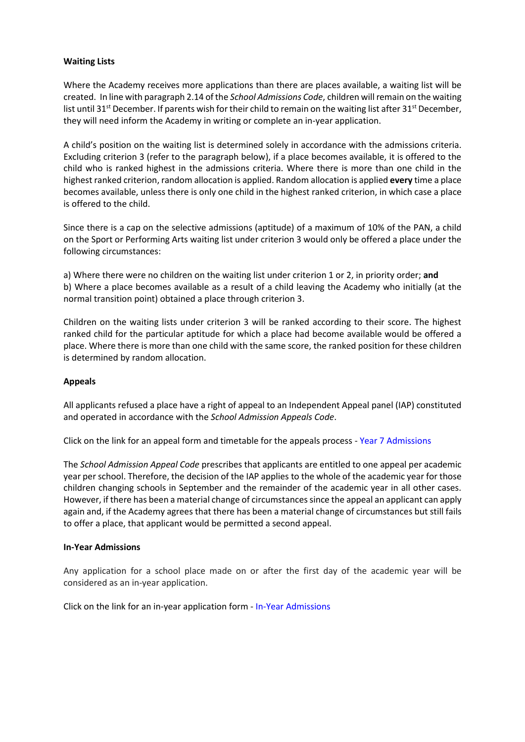#### **Waiting Lists**

Where the Academy receives more applications than there are places available, a waiting list will be created. In line with paragraph 2.14 of the *School Admissions Code*, children will remain on the waiting list until 31<sup>st</sup> December. If parents wish for their child to remain on the waiting list after 31<sup>st</sup> December, they will need inform the Academy in writing or complete an in-year application.

A child's position on the waiting list is determined solely in accordance with the admissions criteria. Excluding criterion 3 (refer to the paragraph below), if a place becomes available, it is offered to the child who is ranked highest in the admissions criteria. Where there is more than one child in the highest ranked criterion, random allocation is applied. Random allocation is applied **every** time a place becomes available, unless there is only one child in the highest ranked criterion, in which case a place is offered to the child.

Since there is a cap on the selective admissions (aptitude) of a maximum of 10% of the PAN, a child on the Sport or Performing Arts waiting list under criterion 3 would only be offered a place under the following circumstances:

a) Where there were no children on the waiting list under criterion 1 or 2, in priority order; **and** b) Where a place becomes available as a result of a child leaving the Academy who initially (at the normal transition point) obtained a place through criterion 3.

Children on the waiting lists under criterion 3 will be ranked according to their score. The highest ranked child for the particular aptitude for which a place had become available would be offered a place. Where there is more than one child with the same score, the ranked position for these children is determined by random allocation.

#### **Appeals**

All applicants refused a place have a right of appeal to an Independent Appeal panel (IAP) constituted and operated in accordance with the *School Admission Appeals Code*.

Click on the link for an appeal form and timetable for the appeals process - [Year 7 Admissions](http://www.eastwoodacademy.co.uk/index.php/admissions/year-7-applications)

The *School Admission Appeal Code* prescribes that applicants are entitled to one appeal per academic year per school. Therefore, the decision of the IAP applies to the whole of the academic year for those children changing schools in September and the remainder of the academic year in all other cases. However, if there has been a material change of circumstances since the appeal an applicant can apply again and, if the Academy agrees that there has been a material change of circumstances but still fails to offer a place, that applicant would be permitted a second appeal.

#### **In-Year Admissions**

Any application for a school place made on or after the first day of the academic year will be considered as an in-year application.

Click on the link for an in-year application form - [In-Year Admissions](http://www.eastwoodacademy.co.uk/index.php/admissions/in-year-applications)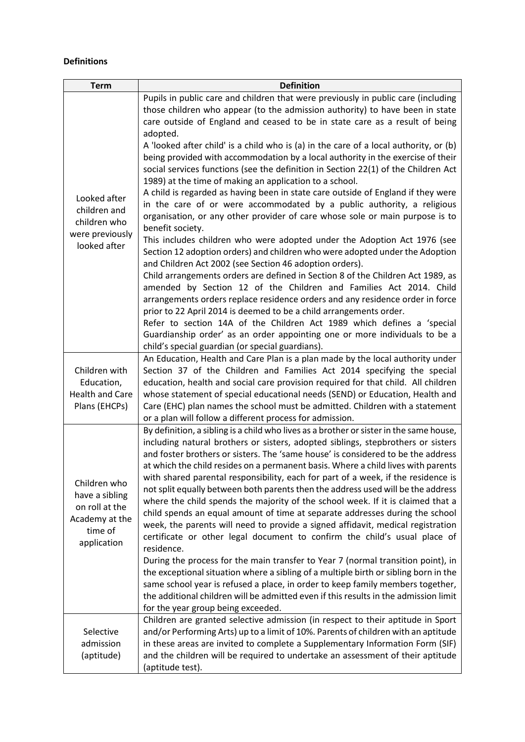## **Definitions**

| <b>Term</b>                                                                                  | <b>Definition</b>                                                                                                                                                                                                                                                                                                                                                                                                                                                                                                                                                                                                                                                                                                                                                                                                                                                                                                                                                                                                                                                                                                                                                                                                                    |
|----------------------------------------------------------------------------------------------|--------------------------------------------------------------------------------------------------------------------------------------------------------------------------------------------------------------------------------------------------------------------------------------------------------------------------------------------------------------------------------------------------------------------------------------------------------------------------------------------------------------------------------------------------------------------------------------------------------------------------------------------------------------------------------------------------------------------------------------------------------------------------------------------------------------------------------------------------------------------------------------------------------------------------------------------------------------------------------------------------------------------------------------------------------------------------------------------------------------------------------------------------------------------------------------------------------------------------------------|
| Looked after<br>children and<br>children who<br>were previously<br>looked after              | Pupils in public care and children that were previously in public care (including<br>those children who appear (to the admission authority) to have been in state<br>care outside of England and ceased to be in state care as a result of being<br>adopted.<br>A 'looked after child' is a child who is (a) in the care of a local authority, or (b)<br>being provided with accommodation by a local authority in the exercise of their                                                                                                                                                                                                                                                                                                                                                                                                                                                                                                                                                                                                                                                                                                                                                                                             |
|                                                                                              | social services functions (see the definition in Section 22(1) of the Children Act<br>1989) at the time of making an application to a school.<br>A child is regarded as having been in state care outside of England if they were<br>in the care of or were accommodated by a public authority, a religious<br>organisation, or any other provider of care whose sole or main purpose is to<br>benefit society.<br>This includes children who were adopted under the Adoption Act 1976 (see<br>Section 12 adoption orders) and children who were adopted under the Adoption<br>and Children Act 2002 (see Section 46 adoption orders).<br>Child arrangements orders are defined in Section 8 of the Children Act 1989, as<br>amended by Section 12 of the Children and Families Act 2014. Child<br>arrangements orders replace residence orders and any residence order in force<br>prior to 22 April 2014 is deemed to be a child arrangements order.<br>Refer to section 14A of the Children Act 1989 which defines a 'special<br>Guardianship order' as an order appointing one or more individuals to be a                                                                                                                       |
| Children with<br>Education,<br><b>Health and Care</b><br>Plans (EHCPs)                       | child's special guardian (or special guardians).<br>An Education, Health and Care Plan is a plan made by the local authority under<br>Section 37 of the Children and Families Act 2014 specifying the special<br>education, health and social care provision required for that child. All children<br>whose statement of special educational needs (SEND) or Education, Health and<br>Care (EHC) plan names the school must be admitted. Children with a statement<br>or a plan will follow a different process for admission.                                                                                                                                                                                                                                                                                                                                                                                                                                                                                                                                                                                                                                                                                                       |
| Children who<br>have a sibling<br>on roll at the<br>Academy at the<br>time of<br>application | By definition, a sibling is a child who lives as a brother or sister in the same house,<br>including natural brothers or sisters, adopted siblings, stepbrothers or sisters<br>and foster brothers or sisters. The 'same house' is considered to be the address<br>at which the child resides on a permanent basis. Where a child lives with parents<br>with shared parental responsibility, each for part of a week, if the residence is<br>not split equally between both parents then the address used will be the address<br>where the child spends the majority of the school week. If it is claimed that a<br>child spends an equal amount of time at separate addresses during the school<br>week, the parents will need to provide a signed affidavit, medical registration<br>certificate or other legal document to confirm the child's usual place of<br>residence.<br>During the process for the main transfer to Year 7 (normal transition point), in<br>the exceptional situation where a sibling of a multiple birth or sibling born in the<br>same school year is refused a place, in order to keep family members together,<br>the additional children will be admitted even if this results in the admission limit |
| Selective<br>admission<br>(aptitude)                                                         | for the year group being exceeded.<br>Children are granted selective admission (in respect to their aptitude in Sport<br>and/or Performing Arts) up to a limit of 10%. Parents of children with an aptitude<br>in these areas are invited to complete a Supplementary Information Form (SIF)<br>and the children will be required to undertake an assessment of their aptitude<br>(aptitude test).                                                                                                                                                                                                                                                                                                                                                                                                                                                                                                                                                                                                                                                                                                                                                                                                                                   |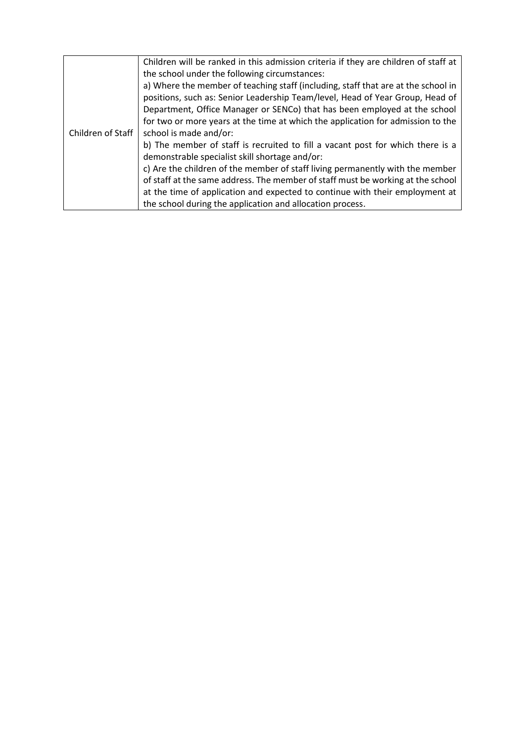|                   | Children will be ranked in this admission criteria if they are children of staff at |
|-------------------|-------------------------------------------------------------------------------------|
|                   | the school under the following circumstances:                                       |
|                   | a) Where the member of teaching staff (including, staff that are at the school in   |
|                   | positions, such as: Senior Leadership Team/level, Head of Year Group, Head of       |
|                   | Department, Office Manager or SENCo) that has been employed at the school           |
|                   | for two or more years at the time at which the application for admission to the     |
| Children of Staff | school is made and/or:                                                              |
|                   | b) The member of staff is recruited to fill a vacant post for which there is a      |
|                   | demonstrable specialist skill shortage and/or:                                      |
|                   | c) Are the children of the member of staff living permanently with the member       |
|                   | of staff at the same address. The member of staff must be working at the school     |
|                   | at the time of application and expected to continue with their employment at        |
|                   | the school during the application and allocation process.                           |